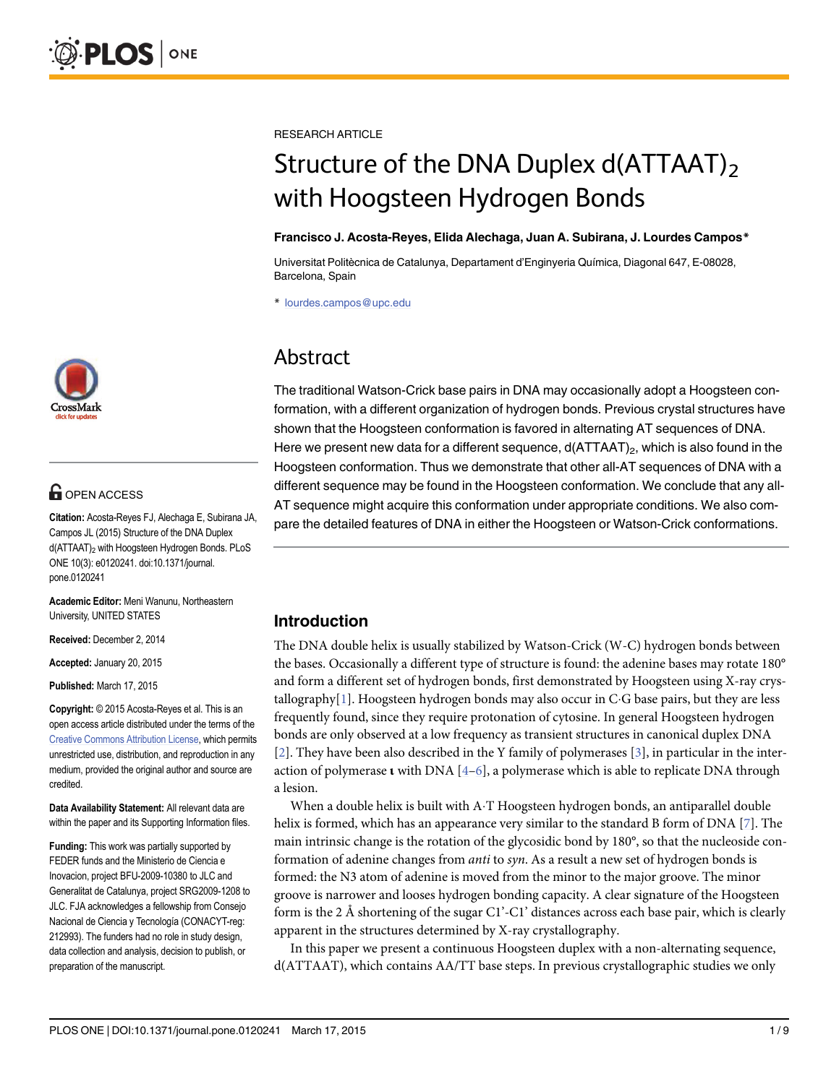

# **OPEN ACCESS**

Citation: Acosta-Reyes FJ, Alechaga E, Subirana JA, Campos JL (2015) Structure of the DNA Duplex d(ATTAAT)2 with Hoogsteen Hydrogen Bonds. PLoS ONE 10(3): e0120241. doi:10.1371/journal. pone.0120241

Academic Editor: Meni Wanunu, Northeastern University, UNITED STATES

Received: December 2, 2014

Accepted: January 20, 2015

Published: March 17, 2015

Copyright: © 2015 Acosta-Reyes et al. This is an open access article distributed under the terms of the [Creative Commons Attribution License,](http://creativecommons.org/licenses/by/4.0/) which permits unrestricted use, distribution, and reproduction in any medium, provided the original author and source are credited.

Data Availability Statement: All relevant data are within the paper and its Supporting Information files.

Funding: This work was partially supported by FEDER funds and the Ministerio de Ciencia e Inovacion, project BFU-2009-10380 to JLC and Generalitat de Catalunya, project SRG2009-1208 to JLC. FJA acknowledges a fellowship from Consejo Nacional de Ciencia y Tecnología (CONACYT-reg: 212993). The funders had no role in study design, data collection and analysis, decision to publish, or preparation of the manuscript.

<span id="page-0-0"></span>RESEARCH ARTICLE

# Structure of the DNA Duplex d(ATTAAT)<sub>2</sub> with Hoogsteen Hydrogen Bonds

#### Francisco J. Acosta-Reyes, Elida Alechaga, Juan A. Subirana, J. Lourdes Campos\*

Universitat Politècnica de Catalunya, Departament d'Enginyeria Química, Diagonal 647, E-08028, Barcelona, Spain

\* lourdes.campos@upc.edu

## Abstract

The traditional Watson-Crick base pairs in DNA may occasionally adopt a Hoogsteen conformation, with a different organization of hydrogen bonds. Previous crystal structures have shown that the Hoogsteen conformation is favored in alternating AT sequences of DNA. Here we present new data for a different sequence,  $d(ATTAAT)_2$ , which is also found in the Hoogsteen conformation. Thus we demonstrate that other all-AT sequences of DNA with a different sequence may be found in the Hoogsteen conformation. We conclude that any all-AT sequence might acquire this conformation under appropriate conditions. We also compare the detailed features of DNA in either the Hoogsteen or Watson-Crick conformations.

## Introduction

The DNA double helix is usually stabilized by Watson-Crick (W-C) hydrogen bonds between the bases. Occasionally a different type of structure is found: the adenine bases may rotate 180° and form a different set of hydrogen bonds, first demonstrated by Hoogsteen using X-ray crystallography $[1]$  $[1]$  $[1]$ . Hoogsteen hydrogen bonds may also occur in C $\cdot$ G base pairs, but they are less frequently found, since they require protonation of cytosine. In general Hoogsteen hydrogen bonds are only observed at a low frequency as transient structures in canonical duplex DNA [\[2](#page-7-0)]. They have been also described in the Y family of polymerases [[3](#page-7-0)], in particular in the interaction of polymerase ι with DNA  $[4-6]$  $[4-6]$  $[4-6]$ , a polymerase which is able to replicate DNA through a lesion.

When a double helix is built with A.T Hoogsteen hydrogen bonds, an antiparallel double helix is formed, which has an appearance very similar to the standard B form of DNA [[7\]](#page-8-0). The main intrinsic change is the rotation of the glycosidic bond by 180°, so that the nucleoside conformation of adenine changes from anti to syn. As a result a new set of hydrogen bonds is formed: the N3 atom of adenine is moved from the minor to the major groove. The minor groove is narrower and looses hydrogen bonding capacity. A clear signature of the Hoogsteen form is the 2 Å shortening of the sugar C1'-C1' distances across each base pair, which is clearly apparent in the structures determined by X-ray crystallography.

In this paper we present a continuous Hoogsteen duplex with a non-alternating sequence, d(ATTAAT), which contains AA/TT base steps. In previous crystallographic studies we only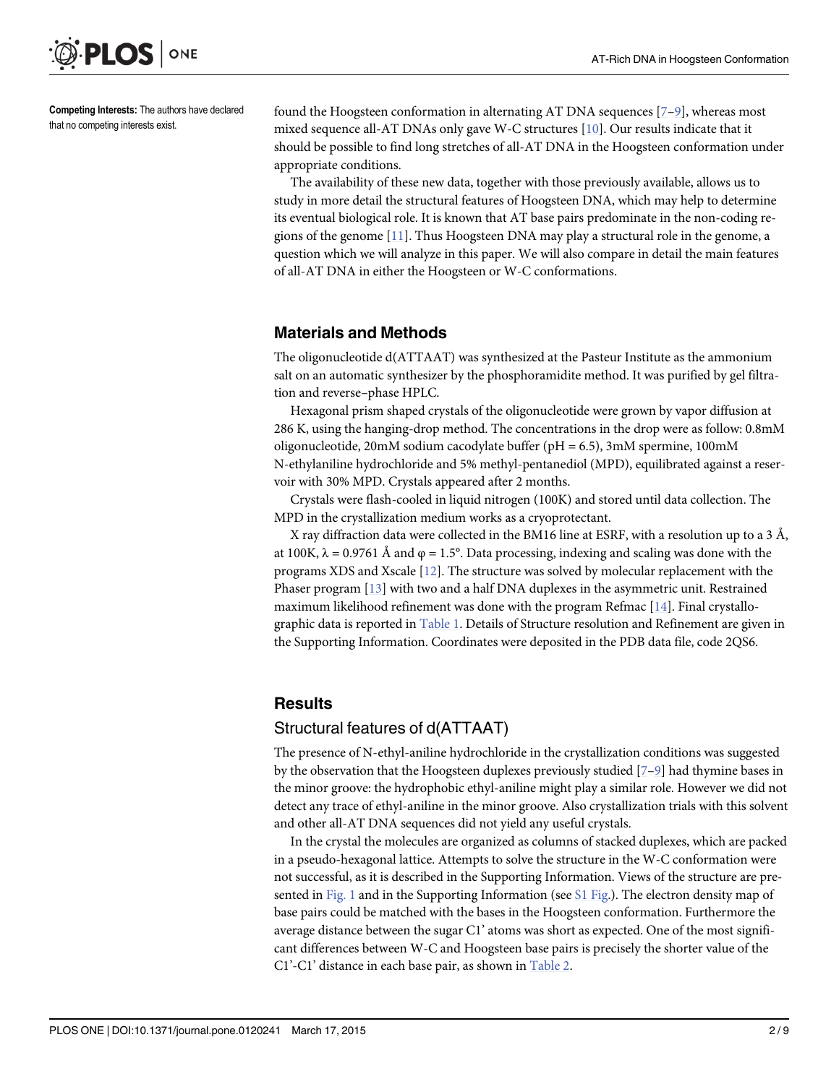<span id="page-1-0"></span>

Competing Interests: The authors have declared that no competing interests exist.

found the Hoogsteen conformation in alternating AT DNA sequences [\[7](#page-8-0)–[9](#page-8-0)], whereas most mixed sequence all-AT DNAs only gave W-C structures [[10](#page-8-0)]. Our results indicate that it should be possible to find long stretches of all-AT DNA in the Hoogsteen conformation under appropriate conditions.

The availability of these new data, together with those previously available, allows us to study in more detail the structural features of Hoogsteen DNA, which may help to determine its eventual biological role. It is known that AT base pairs predominate in the non-coding regions of the genome  $[11]$  $[11]$ . Thus Hoogsteen DNA may play a structural role in the genome, a question which we will analyze in this paper. We will also compare in detail the main features of all-AT DNA in either the Hoogsteen or W-C conformations.

#### Materials and Methods

The oligonucleotide d(ATTAAT) was synthesized at the Pasteur Institute as the ammonium salt on an automatic synthesizer by the phosphoramidite method. It was purified by gel filtration and reverse–phase HPLC.

Hexagonal prism shaped crystals of the oligonucleotide were grown by vapor diffusion at 286 K, using the hanging-drop method. The concentrations in the drop were as follow: 0.8mM oligonucleotide, 20mM sodium cacodylate buffer (pH = 6.5), 3mM spermine, 100mM N-ethylaniline hydrochloride and 5% methyl-pentanediol (MPD), equilibrated against a reservoir with 30% MPD. Crystals appeared after 2 months.

Crystals were flash-cooled in liquid nitrogen (100K) and stored until data collection. The MPD in the crystallization medium works as a cryoprotectant.

X ray diffraction data were collected in the BM16 line at ESRF, with a resolution up to a 3 Å, at 100K,  $\lambda = 0.9761$  Å and  $\varphi = 1.5^{\circ}$ . Data processing, indexing and scaling was done with the programs XDS and Xscale [\[12\]](#page-8-0). The structure was solved by molecular replacement with the Phaser program [\[13\]](#page-8-0) with two and a half DNA duplexes in the asymmetric unit. Restrained maximum likelihood refinement was done with the program Refmac [\[14](#page-8-0)]. Final crystallographic data is reported in [Table 1.](#page-2-0) Details of Structure resolution and Refinement are given in the Supporting Information. Coordinates were deposited in the PDB data file, code 2QS6.

#### **Results**

#### Structural features of d(ATTAAT)

The presence of N-ethyl-aniline hydrochloride in the crystallization conditions was suggested by the observation that the Hoogsteen duplexes previously studied [[7](#page-8-0)–[9\]](#page-8-0) had thymine bases in the minor groove: the hydrophobic ethyl-aniline might play a similar role. However we did not detect any trace of ethyl-aniline in the minor groove. Also crystallization trials with this solvent and other all-AT DNA sequences did not yield any useful crystals.

In the crystal the molecules are organized as columns of stacked duplexes, which are packed in a pseudo-hexagonal lattice. Attempts to solve the structure in the W-C conformation were not successful, as it is described in the Supporting Information. Views of the structure are pre-sented in [Fig. 1](#page-3-0) and in the Supporting Information (see  $S1$  Fig.). The electron density map of base pairs could be matched with the bases in the Hoogsteen conformation. Furthermore the average distance between the sugar C1' atoms was short as expected. One of the most significant differences between W-C and Hoogsteen base pairs is precisely the shorter value of the C1'-C1' distance in each base pair, as shown in [Table 2.](#page-3-0)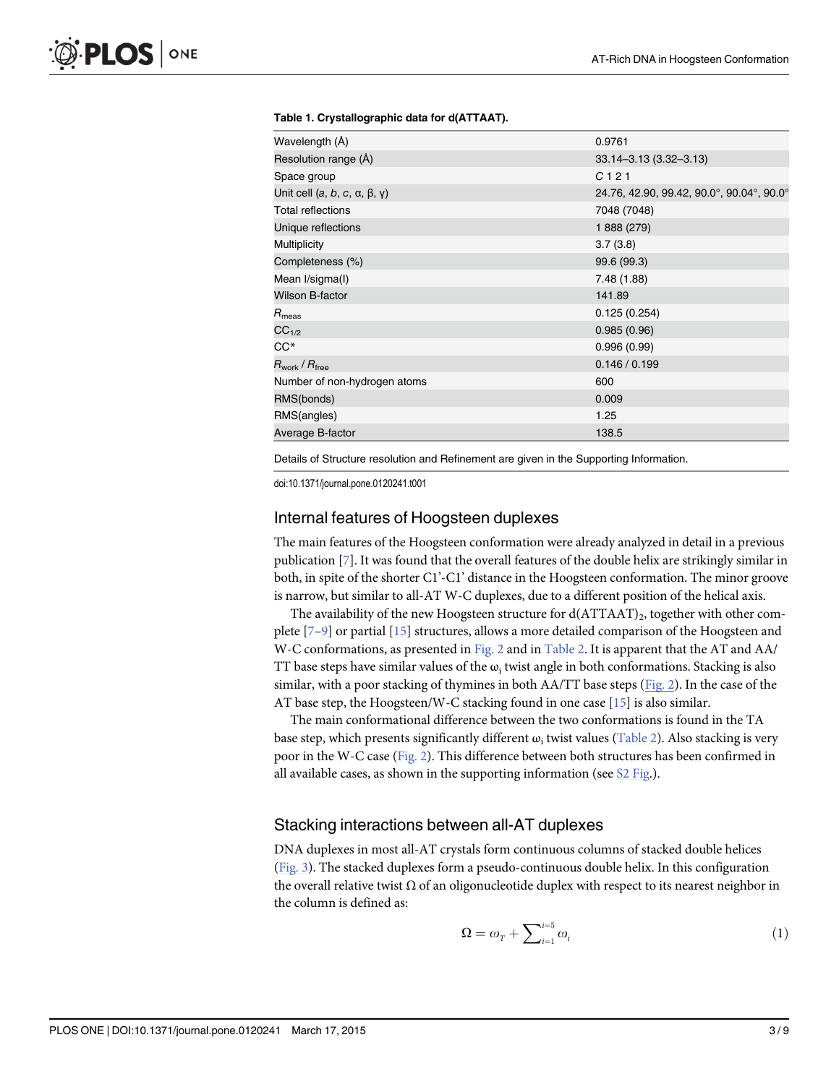| Wavelength (Å)                               | 0.9761                                    |  |  |
|----------------------------------------------|-------------------------------------------|--|--|
| Resolution range (Å)                         | 33.14-3.13 (3.32-3.13)                    |  |  |
| Space group                                  | C <sub>121</sub>                          |  |  |
| Unit cell $(a, b, c, \alpha, \beta, \gamma)$ | 24.76, 42.90, 99.42, 90.0°, 90.04°, 90.0° |  |  |
| <b>Total reflections</b>                     | 7048 (7048)                               |  |  |
| Unique reflections                           | 1 888 (279)                               |  |  |
| <b>Multiplicity</b>                          | 3.7(3.8)                                  |  |  |
| Completeness (%)                             | 99.6 (99.3)                               |  |  |
| Mean I/sigma(I)                              | 7.48(1.88)                                |  |  |
| <b>Wilson B-factor</b>                       | 141.89                                    |  |  |
| $R_{\rm meas}$                               | 0.125(0.254)                              |  |  |
| CC <sub>1/2</sub>                            | 0.985(0.96)                               |  |  |
| $CC*$                                        | 0.996(0.99)                               |  |  |
| $R_{work}$ / $R_{\text{free}}$               | 0.146 / 0.199                             |  |  |
| Number of non-hydrogen atoms                 | 600                                       |  |  |
| RMS(bonds)                                   | 0.009                                     |  |  |
| RMS(angles)                                  | 1.25                                      |  |  |
| Average B-factor                             | 138.5                                     |  |  |
|                                              |                                           |  |  |

#### <span id="page-2-0"></span>[Table 1.](#page-1-0) Crystallographic data for d(ATTAAT).

Details of Structure resolution and Refinement are given in the Supporting Information.

doi:10.1371/journal.pone.0120241.t001

#### Internal features of Hoogsteen duplexes

The main features of the Hoogsteen conformation were already analyzed in detail in a previous publication [\[7](#page-8-0)]. It was found that the overall features of the double helix are strikingly similar in both, in spite of the shorter C1'-C1' distance in the Hoogsteen conformation. The minor groove is narrow, but similar to all-AT W-C duplexes, due to a different position of the helical axis.

The availability of the new Hoogsteen structure for  $d(ATTAAT)$ , together with other complete  $[7-9]$  $[7-9]$  $[7-9]$  $[7-9]$  $[7-9]$  or partial  $[15]$  structures, allows a more detailed comparison of the Hoogsteen and W-C conformations, as presented in [Fig. 2](#page-4-0) and in [Table 2.](#page-3-0) It is apparent that the AT and AA/ TT base steps have similar values of the  $\omega_i$  twist angle in both conformations. Stacking is also similar, with a poor stacking of thymines in both  $AA/TT$  base steps ( $Fig. 2$ ). In the case of the AT base step, the Hoogsteen/W-C stacking found in one case [[15](#page-8-0)] is also similar.

The main conformational difference between the two conformations is found in the TA base step, which presents significantly different  $\omega_i$  twist values [\(Table 2\)](#page-3-0). Also stacking is very poor in the W-C case [\(Fig. 2\)](#page-4-0). This difference between both structures has been confirmed in all available cases, as shown in the supporting information (see  $S2$  Fig.).

#### Stacking interactions between all-AT duplexes

DNA duplexes in most all-AT crystals form continuous columns of stacked double helices [\(Fig. 3](#page-5-0)). The stacked duplexes form a pseudo-continuous double helix. In this configuration the overall relative twist  $\Omega$  of an oligonucleotide duplex with respect to its nearest neighbor in the column is defined as:

$$
\Omega = \omega_{\rm r} + \sum_{i=1}^{i=5} \omega_i \tag{1}
$$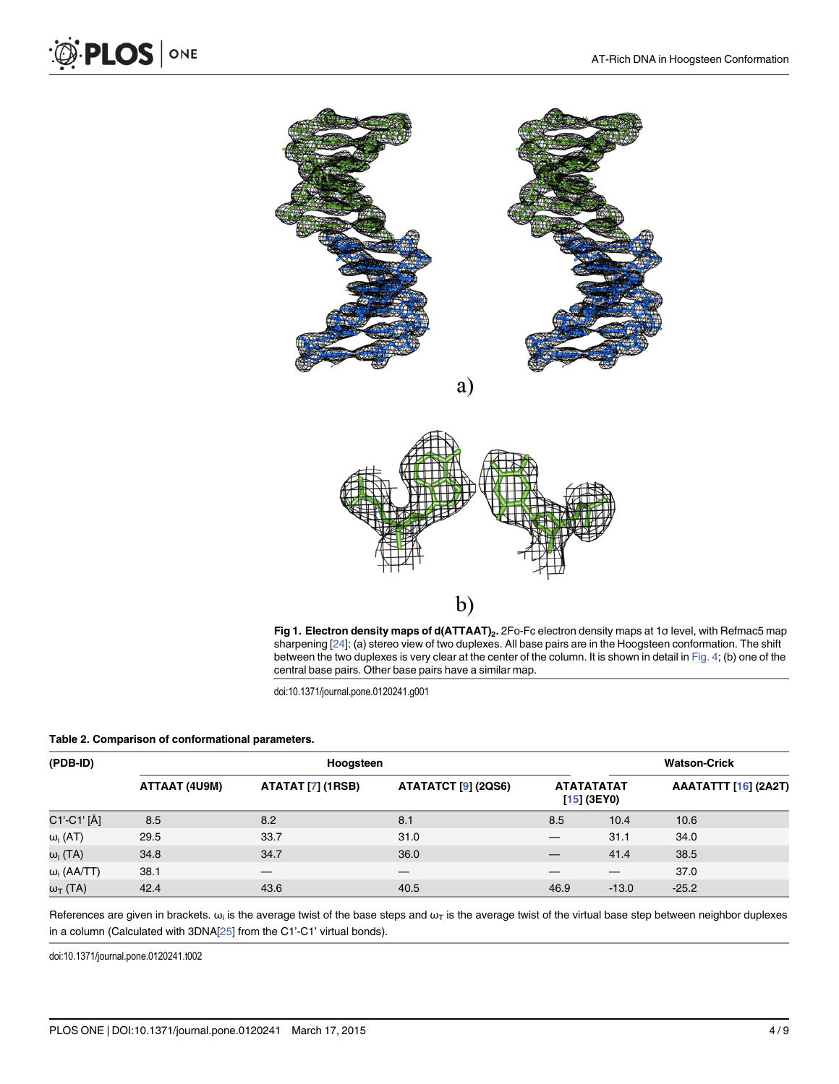<span id="page-3-0"></span>



[Fig 1. E](#page-1-0)lectron density maps of d(ATTAAT)<sub>2</sub>. 2Fo-Fc electron density maps at 1 $\sigma$  level, with Refmac5 map sharpening [\[24\]](#page-8-0): (a) stereo view of two duplexes. All base pairs are in the Hoogsteen conformation. The shift between the two duplexes is very clear at the center of the column. It is shown in detail in [Fig. 4](#page-6-0); (b) one of the central base pairs. Other base pairs have a similar map.

#### [Table 2.](#page-1-0) Comparison of conformational parameters.

| (PDB-ID)<br>C1'-C1'[Å]     | Hoogsteen                   |                          |                                   |                                    | <b>Watson-Crick</b> |                             |  |
|----------------------------|-----------------------------|--------------------------|-----------------------------------|------------------------------------|---------------------|-----------------------------|--|
|                            | ATTAAT (4U9M)<br>8.5<br>8.2 | ATATAT [7] (1RSB)        | <b>ATATATCT [9] (2QS6)</b><br>8.1 | <b>ATATATATAT</b><br>$[15]$ (3EY0) |                     | <b>AAATATTT [16] (2A2T)</b> |  |
|                            |                             |                          |                                   | 8.5                                | 10.4                | 10.6                        |  |
| $\omega_i$ (AT)            | 29.5                        | 33.7                     | 31.0                              |                                    | 31.1                | 34.0                        |  |
| $\omega_i$ (TA)            | 34.8                        | 34.7                     | 36.0                              |                                    | 41.4                | 38.5                        |  |
| $\omega_i$ (AA/TT)         | 38.1                        | $\overline{\phantom{0}}$ |                                   |                                    |                     | 37.0                        |  |
| $\omega_{\mathsf{T}}$ (TA) | 42.4                        | 43.6                     | 40.5                              | 46.9                               | $-13.0$             | $-25.2$                     |  |

References are given in brackets.  $\omega_i$  is the average twist of the base steps and  $\omega_T$  is the average twist of the virtual base step between neighbor duplexes in a column (Calculated with 3DNA[[25](#page-8-0)] from the C1'-C1' virtual bonds).

doi:10.1371/journal.pone.0120241.t002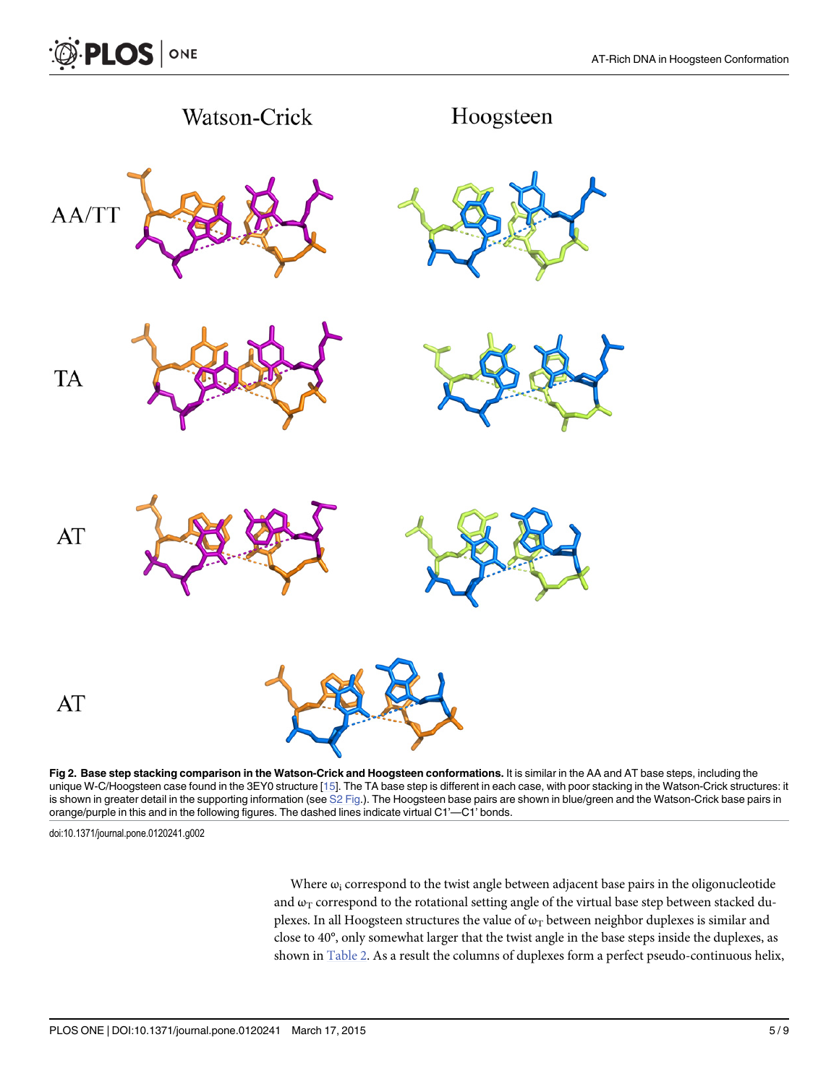<span id="page-4-0"></span>

[Fig 2. B](#page-2-0)ase step stacking comparison in the Watson-Crick and Hoogsteen conformations. It is similar in the AA and AT base steps, including the unique W-C/Hoogsteen case found in the 3EY0 structure [\[15\]](#page-8-0). The TA base step is different in each case, with poor stacking in the Watson-Crick structures: it is shown in greater detail in the supporting information (see [S2 Fig.](#page-7-0)). The Hoogsteen base pairs are shown in blue/green and the Watson-Crick base pairs in orange/purple in this and in the following figures. The dashed lines indicate virtual C1'—C1' bonds.

Where  $\omega_i$  correspond to the twist angle between adjacent base pairs in the oligonucleotide and  $\omega_T$  correspond to the rotational setting angle of the virtual base step between stacked duplexes. In all Hoogsteen structures the value of  $\omega_T$  between neighbor duplexes is similar and close to 40°, only somewhat larger that the twist angle in the base steps inside the duplexes, as shown in [Table 2.](#page-3-0) As a result the columns of duplexes form a perfect pseudo-continuous helix,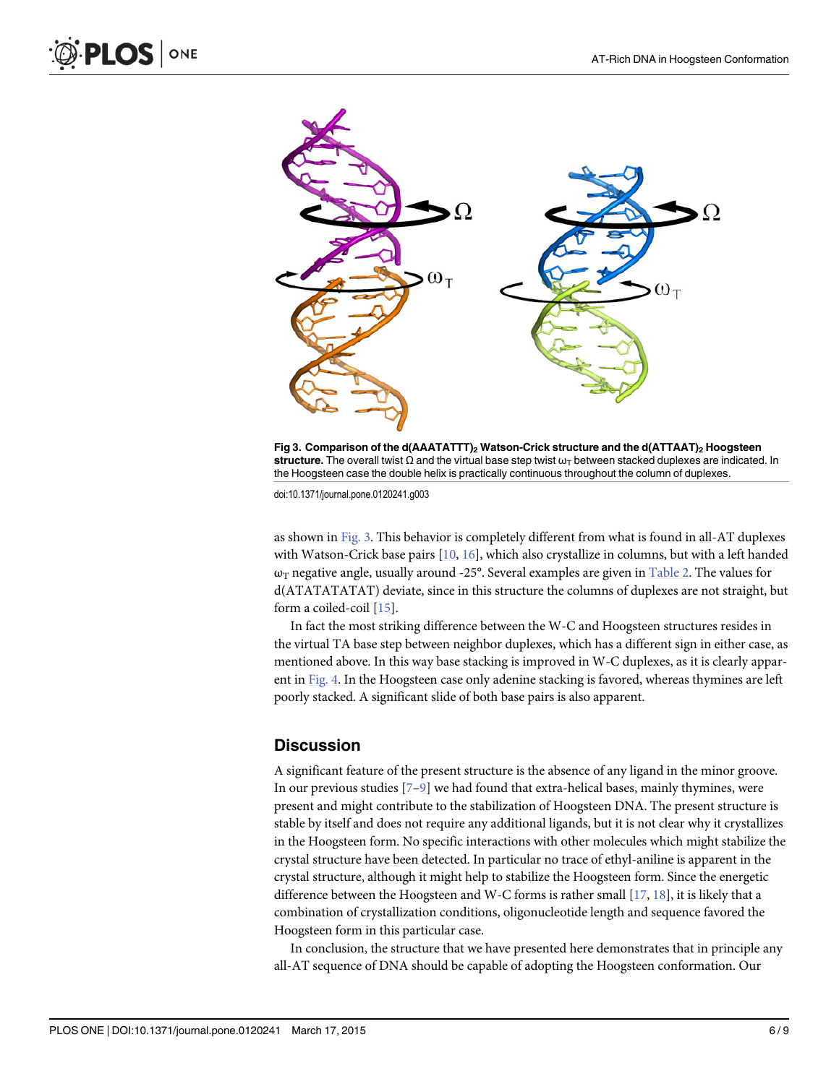<span id="page-5-0"></span>

[Fig 3. C](#page-2-0)omparison of the d(AAATATTT)<sub>2</sub> Watson-Crick structure and the d(ATTAAT)<sub>2</sub> Hoogsteen structure. The overall twist  $\Omega$  and the virtual base step twist  $\omega_T$  between stacked duplexes are indicated. In the Hoogsteen case the double helix is practically continuous throughout the column of duplexes.

as shown in Fig. 3. This behavior is completely different from what is found in all-AT duplexes with Watson-Crick base pairs  $[10, 16]$  $[10, 16]$  $[10, 16]$ , which also crystallize in columns, but with a left handed  $\omega_T$  negative angle, usually around -25°. Several examples are given in [Table 2.](#page-3-0) The values for d(ATATATATAT) deviate, since in this structure the columns of duplexes are not straight, but form a coiled-coil [[15](#page-8-0)].

In fact the most striking difference between the W-C and Hoogsteen structures resides in the virtual TA base step between neighbor duplexes, which has a different sign in either case, as mentioned above. In this way base stacking is improved in W-C duplexes, as it is clearly apparent in [Fig. 4.](#page-6-0) In the Hoogsteen case only adenine stacking is favored, whereas thymines are left poorly stacked. A significant slide of both base pairs is also apparent.

#### **Discussion**

A significant feature of the present structure is the absence of any ligand in the minor groove. In our previous studies  $[7-9]$  $[7-9]$  $[7-9]$  $[7-9]$  $[7-9]$  we had found that extra-helical bases, mainly thymines, were present and might contribute to the stabilization of Hoogsteen DNA. The present structure is stable by itself and does not require any additional ligands, but it is not clear why it crystallizes in the Hoogsteen form. No specific interactions with other molecules which might stabilize the crystal structure have been detected. In particular no trace of ethyl-aniline is apparent in the crystal structure, although it might help to stabilize the Hoogsteen form. Since the energetic difference between the Hoogsteen and W-C forms is rather small  $[17, 18]$  $[17, 18]$  $[17, 18]$  $[17, 18]$  $[17, 18]$ , it is likely that a combination of crystallization conditions, oligonucleotide length and sequence favored the Hoogsteen form in this particular case.

In conclusion, the structure that we have presented here demonstrates that in principle any all-AT sequence of DNA should be capable of adopting the Hoogsteen conformation. Our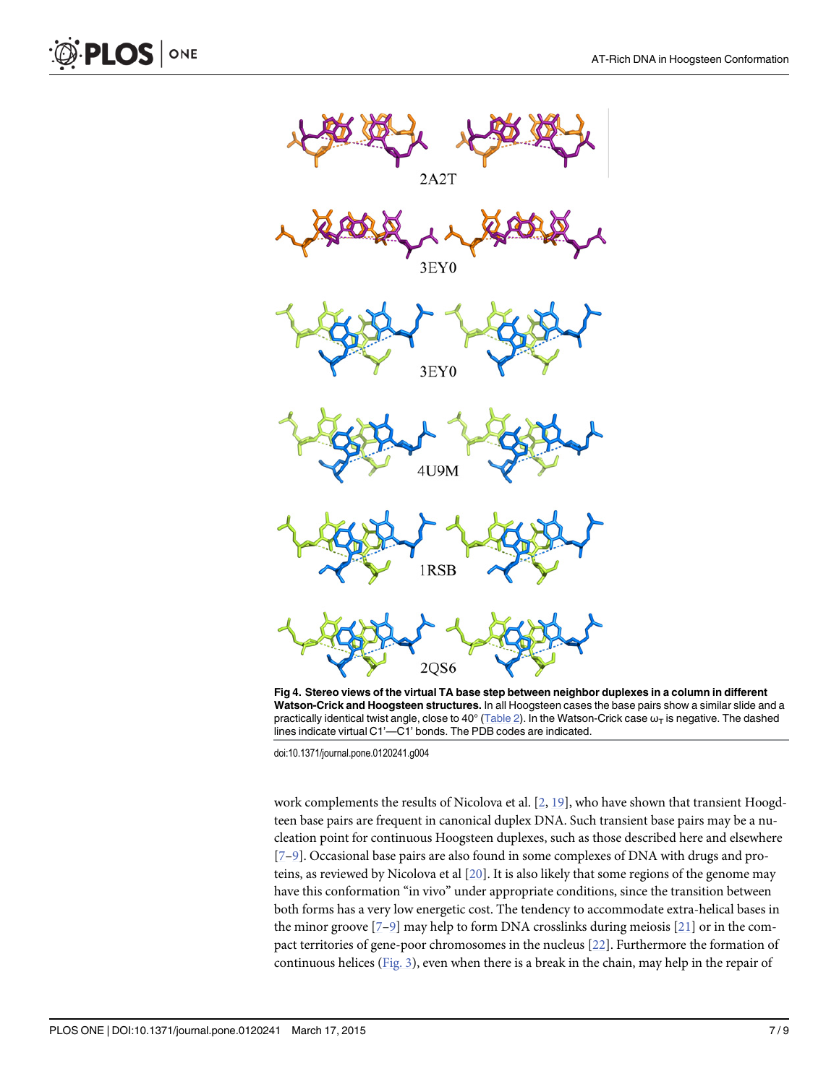<span id="page-6-0"></span>

[Fig 4. S](#page-3-0)tereo views of the virtual TA base step between neighbor duplexes in a column in different Watson-Crick and Hoogsteen structures. In all Hoogsteen cases the base pairs show a similar slide and a practically identical twist angle, close to 40 $^{\circ}$  [\(Table 2](#page-3-0)). In the Watson-Crick case  $\omega_T$  is negative. The dashed lines indicate virtual C1'—C1' bonds. The PDB codes are indicated.

work complements the results of Nicolova et al.  $[2, 19]$  $[2, 19]$  $[2, 19]$ , who have shown that transient Hoogdteen base pairs are frequent in canonical duplex DNA. Such transient base pairs may be a nucleation point for continuous Hoogsteen duplexes, such as those described here and elsewhere  $[7-9]$  $[7-9]$  $[7-9]$  $[7-9]$ . Occasional base pairs are also found in some complexes of DNA with drugs and proteins, as reviewed by Nicolova et al [[20](#page-8-0)]. It is also likely that some regions of the genome may have this conformation "in vivo" under appropriate conditions, since the transition between both forms has a very low energetic cost. The tendency to accommodate extra-helical bases in the minor groove  $[7-9]$  $[7-9]$  $[7-9]$  $[7-9]$  may help to form DNA crosslinks during meiosis  $[21]$  or in the compact territories of gene-poor chromosomes in the nucleus [[22](#page-8-0)]. Furthermore the formation of continuous helices [\(Fig. 3\)](#page-5-0), even when there is a break in the chain, may help in the repair of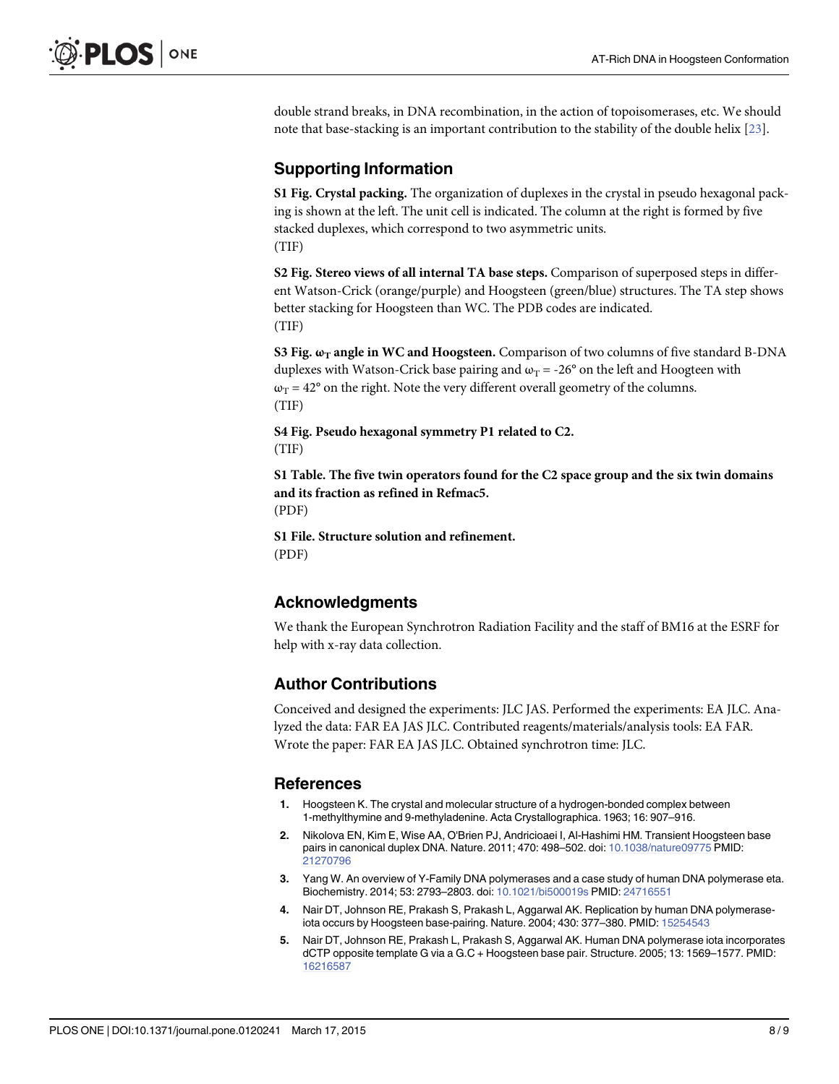<span id="page-7-0"></span>double strand breaks, in DNA recombination, in the action of topoisomerases, etc. We should note that base-stacking is an important contribution to the stability of the double helix [[23](#page-8-0)].

#### Supporting Information

[S1 Fig.](http://www.plosone.org/article/fetchSingleRepresentation.action?uri=info:doi/10.1371/journal.pone.0120241.s001) Crystal packing. The organization of duplexes in the crystal in pseudo hexagonal packing is shown at the left. The unit cell is indicated. The column at the right is formed by five stacked duplexes, which correspond to two asymmetric units. (TIF)

[S2 Fig.](http://www.plosone.org/article/fetchSingleRepresentation.action?uri=info:doi/10.1371/journal.pone.0120241.s002) Stereo views of all internal TA base steps. Comparison of superposed steps in different Watson-Crick (orange/purple) and Hoogsteen (green/blue) structures. The TA step shows better stacking for Hoogsteen than WC. The PDB codes are indicated. (TIF)

[S3 Fig.](http://www.plosone.org/article/fetchSingleRepresentation.action?uri=info:doi/10.1371/journal.pone.0120241.s003)  $\omega_T$  angle in WC and Hoogsteen. Comparison of two columns of five standard B-DNA duplexes with Watson-Crick base pairing and  $\omega_T = -26^\circ$  on the left and Hoogteen with  $\omega_T$  = 42° on the right. Note the very different overall geometry of the columns. (TIF)

[S4 Fig.](http://www.plosone.org/article/fetchSingleRepresentation.action?uri=info:doi/10.1371/journal.pone.0120241.s004) Pseudo hexagonal symmetry P1 related to C2. (TIF)

[S1 Table](http://www.plosone.org/article/fetchSingleRepresentation.action?uri=info:doi/10.1371/journal.pone.0120241.s005). The five twin operators found for the C2 space group and the six twin domains and its fraction as refined in Refmac5. (PDF)

[S1 File.](http://www.plosone.org/article/fetchSingleRepresentation.action?uri=info:doi/10.1371/journal.pone.0120241.s006) Structure solution and refinement. (PDF)

## Acknowledgments

We thank the European Synchrotron Radiation Facility and the staff of BM16 at the ESRF for help with x-ray data collection.

#### Author Contributions

Conceived and designed the experiments: JLC JAS. Performed the experiments: EA JLC. Analyzed the data: FAR EA JAS JLC. Contributed reagents/materials/analysis tools: EA FAR. Wrote the paper: FAR EA JAS JLC. Obtained synchrotron time: JLC.

#### References

- [1.](#page-0-0) Hoogsteen K. The crystal and molecular structure of a hydrogen-bonded complex between 1-methylthymine and 9-methyladenine. Acta Crystallographica. 1963; 16: 907–916.
- [2.](#page-0-0) Nikolova EN, Kim E, Wise AA, O'Brien PJ, Andricioaei I, Al-Hashimi HM. Transient Hoogsteen base pairs in canonical duplex DNA. Nature. 2011; 470: 498–502. doi: [10.1038/nature09775](http://dx.doi.org/10.1038/nature09775) PMID: [21270796](http://www.ncbi.nlm.nih.gov/pubmed/21270796)
- [3.](#page-0-0) Yang W. An overview of Y-Family DNA polymerases and a case study of human DNA polymerase eta. Biochemistry. 2014; 53: 2793–2803. doi: [10.1021/bi500019s](http://dx.doi.org/10.1021/bi500019s) PMID: [24716551](http://www.ncbi.nlm.nih.gov/pubmed/24716551)
- [4.](#page-0-0) Nair DT, Johnson RE, Prakash S, Prakash L, Aggarwal AK. Replication by human DNA polymerase-iota occurs by Hoogsteen base-pairing. Nature. 2004; 430: 377-380. PMID: [15254543](http://www.ncbi.nlm.nih.gov/pubmed/15254543)
- 5. Nair DT, Johnson RE, Prakash L, Prakash S, Aggarwal AK. Human DNA polymerase iota incorporates dCTP opposite template G via a G.C + Hoogsteen base pair. Structure. 2005; 13: 1569–1577. PMID: [16216587](http://www.ncbi.nlm.nih.gov/pubmed/16216587)